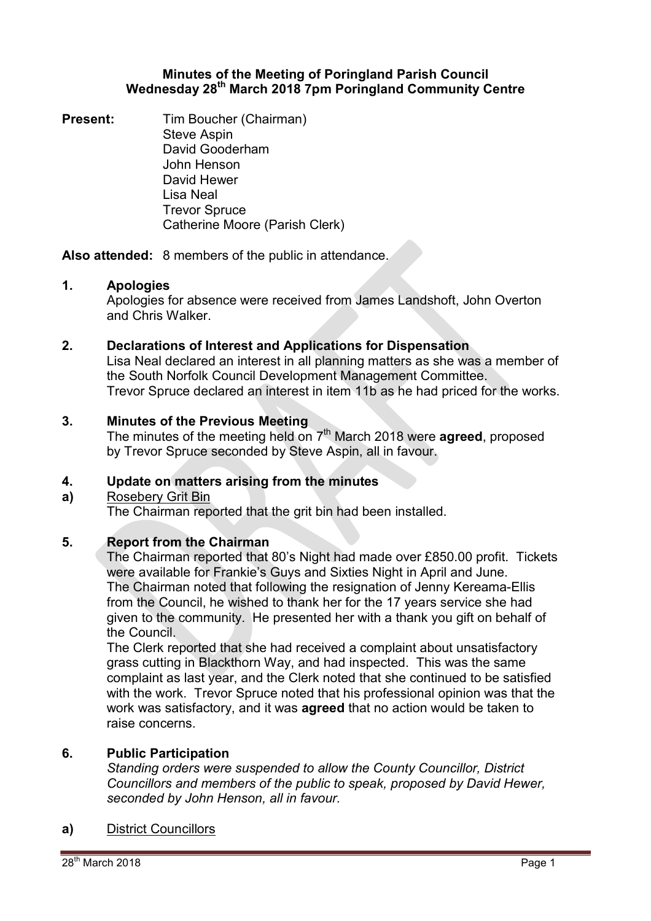## **Minutes of the Meeting of Poringland Parish Council Wednesday 28th March 2018 7pm Poringland Community Centre**

**Present:** Tim Boucher (Chairman) Steve Aspin David Gooderham John Henson David Hewer Lisa Neal Trevor Spruce Catherine Moore (Parish Clerk)

**Also attended:** 8 members of the public in attendance.

# **1. Apologies**

Apologies for absence were received from James Landshoft, John Overton and Chris Walker.

## **2. Declarations of Interest and Applications for Dispensation**

Lisa Neal declared an interest in all planning matters as she was a member of the South Norfolk Council Development Management Committee. Trevor Spruce declared an interest in item 11b as he had priced for the works.

## **3. Minutes of the Previous Meeting**

The minutes of the meeting held on 7<sup>th</sup> March 2018 were **agreed**, proposed by Trevor Spruce seconded by Steve Aspin, all in favour.

### **4. Update on matters arising from the minutes**

### **a)**  Rosebery Grit Bin

The Chairman reported that the grit bin had been installed.

# **5. Report from the Chairman**

The Chairman reported that 80's Night had made over £850.00 profit. Tickets were available for Frankie's Guys and Sixties Night in April and June. The Chairman noted that following the resignation of Jenny Kereama-Ellis from the Council, he wished to thank her for the 17 years service she had given to the community. He presented her with a thank you gift on behalf of the Council.

The Clerk reported that she had received a complaint about unsatisfactory grass cutting in Blackthorn Way, and had inspected. This was the same complaint as last year, and the Clerk noted that she continued to be satisfied with the work. Trevor Spruce noted that his professional opinion was that the work was satisfactory, and it was **agreed** that no action would be taken to raise concerns.

## **6. Public Participation**

*Standing orders were suspended to allow the County Councillor, District Councillors and members of the public to speak, proposed by David Hewer, seconded by John Henson, all in favour.* 

# **a)** District Councillors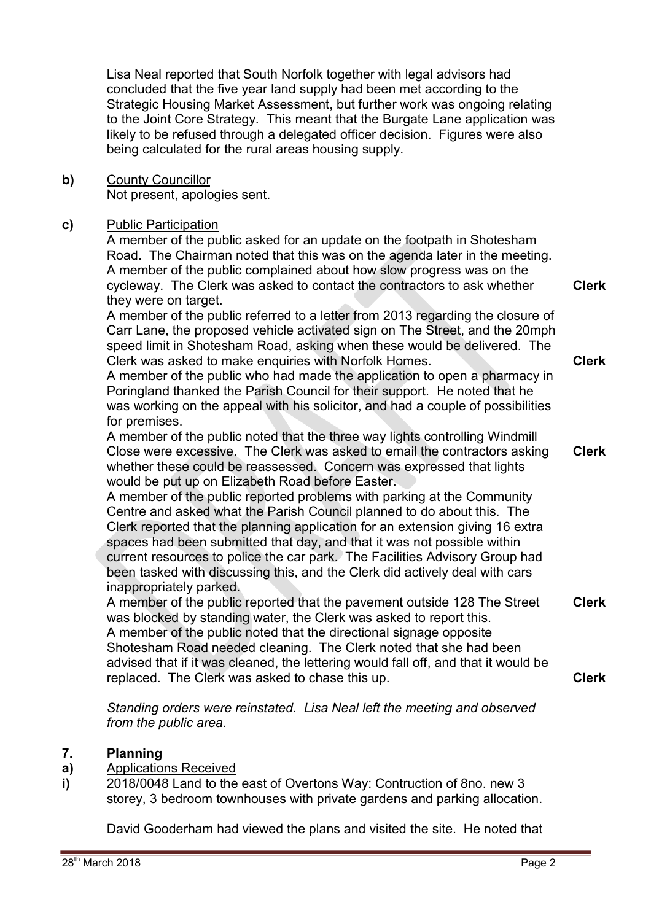Lisa Neal reported that South Norfolk together with legal advisors had concluded that the five year land supply had been met according to the Strategic Housing Market Assessment, but further work was ongoing relating to the Joint Core Strategy. This meant that the Burgate Lane application was likely to be refused through a delegated officer decision. Figures were also being calculated for the rural areas housing supply.

**b)** County Councillor Not present, apologies sent.

# **c)** Public Participation

A member of the public asked for an update on the footpath in Shotesham Road. The Chairman noted that this was on the agenda later in the meeting. A member of the public complained about how slow progress was on the cycleway. The Clerk was asked to contact the contractors to ask whether they were on target.

A member of the public referred to a letter from 2013 regarding the closure of Carr Lane, the proposed vehicle activated sign on The Street, and the 20mph speed limit in Shotesham Road, asking when these would be delivered. The Clerk was asked to make enquiries with Norfolk Homes.

A member of the public who had made the application to open a pharmacy in Poringland thanked the Parish Council for their support. He noted that he was working on the appeal with his solicitor, and had a couple of possibilities for premises.

A member of the public noted that the three way lights controlling Windmill Close were excessive. The Clerk was asked to email the contractors asking whether these could be reassessed. Concern was expressed that lights would be put up on Elizabeth Road before Easter. **Clerk**

A member of the public reported problems with parking at the Community Centre and asked what the Parish Council planned to do about this. The Clerk reported that the planning application for an extension giving 16 extra spaces had been submitted that day, and that it was not possible within current resources to police the car park. The Facilities Advisory Group had been tasked with discussing this, and the Clerk did actively deal with cars inappropriately parked.

A member of the public reported that the pavement outside 128 The Street was blocked by standing water, the Clerk was asked to report this. A member of the public noted that the directional signage opposite Shotesham Road needed cleaning. The Clerk noted that she had been advised that if it was cleaned, the lettering would fall off, and that it would be replaced. The Clerk was asked to chase this up. **Clerk Clerk**

*Standing orders were reinstated. Lisa Neal left the meeting and observed from the public area.* 

### **7. Planning**

### **a)**  Applications Received

**i)**  2018/0048 Land to the east of Overtons Way: Contruction of 8no. new 3 storey, 3 bedroom townhouses with private gardens and parking allocation.

David Gooderham had viewed the plans and visited the site. He noted that

**Clerk**

**Clerk**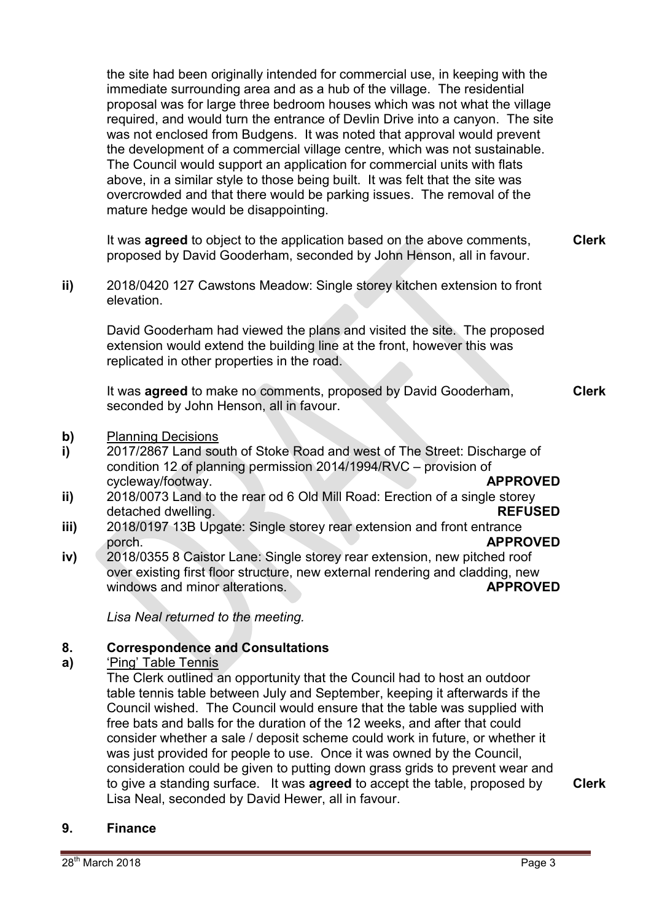the site had been originally intended for commercial use, in keeping with the immediate surrounding area and as a hub of the village. The residential proposal was for large three bedroom houses which was not what the village required, and would turn the entrance of Devlin Drive into a canyon. The site was not enclosed from Budgens. It was noted that approval would prevent the development of a commercial village centre, which was not sustainable. The Council would support an application for commercial units with flats above, in a similar style to those being built. It was felt that the site was overcrowded and that there would be parking issues. The removal of the mature hedge would be disappointing.

It was **agreed** to object to the application based on the above comments, proposed by David Gooderham, seconded by John Henson, all in favour. **Clerk**

**ii)** 2018/0420 127 Cawstons Meadow: Single storey kitchen extension to front elevation.

David Gooderham had viewed the plans and visited the site. The proposed extension would extend the building line at the front, however this was replicated in other properties in the road.

It was **agreed** to make no comments, proposed by David Gooderham, seconded by John Henson, all in favour. **Clerk**

- **b)** Planning Decisions
- **i)**  2017/2867 Land south of Stoke Road and west of The Street: Discharge of condition 12 of planning permission 2014/1994/RVC – provision of cycleway/footway. **APPROVED**
- **ii)**  2018/0073 Land to the rear od 6 Old Mill Road: Erection of a single storey detached dwelling. **REFUSED**
- **iii)**  2018/0197 13B Upgate: Single storey rear extension and front entrance porch. **APPROVED**
- **iv)**  2018/0355 8 Caistor Lane: Single storey rear extension, new pitched roof over existing first floor structure, new external rendering and cladding, new windows and minor alterations. **APPROVED**

*Lisa Neal returned to the meeting.* 

### **8. Correspondence and Consultations**

### **a)**  'Ping' Table Tennis

The Clerk outlined an opportunity that the Council had to host an outdoor table tennis table between July and September, keeping it afterwards if the Council wished. The Council would ensure that the table was supplied with free bats and balls for the duration of the 12 weeks, and after that could consider whether a sale / deposit scheme could work in future, or whether it was just provided for people to use. Once it was owned by the Council, consideration could be given to putting down grass grids to prevent wear and to give a standing surface. It was **agreed** to accept the table, proposed by Lisa Neal, seconded by David Hewer, all in favour.

**9. Finance**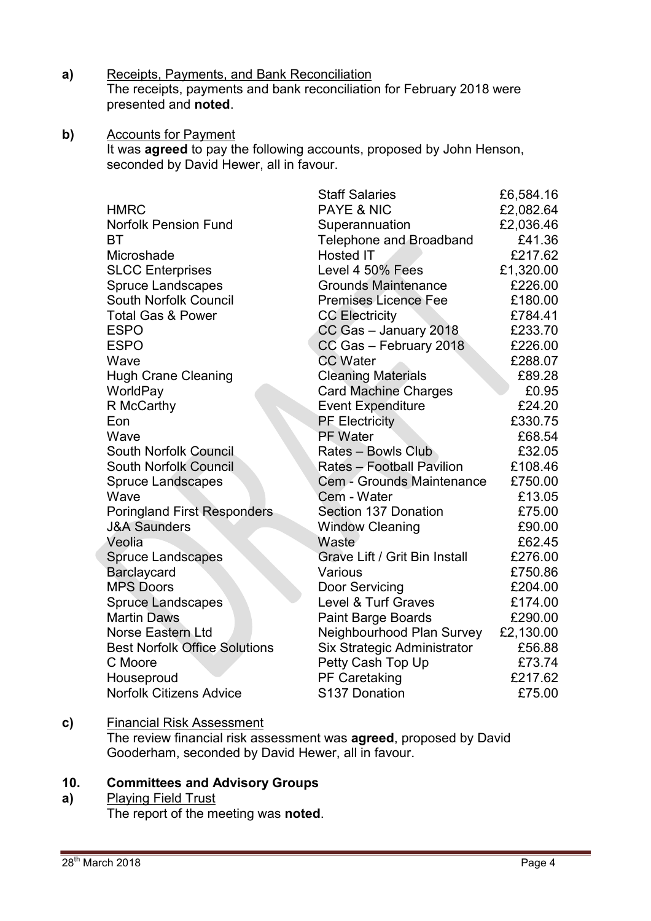- **a)** Receipts, Payments, and Bank Reconciliation The receipts, payments and bank reconciliation for February 2018 were presented and **noted**.
- **b)** Accounts for Payment It was **agreed** to pay the following accounts, proposed by John Henson, seconded by David Hewer, all in favour.

|  |                                      | <b>Staff Salaries</b>          | £6,584.16 |
|--|--------------------------------------|--------------------------------|-----------|
|  | <b>HMRC</b>                          | <b>PAYE &amp; NIC</b>          | £2,082.64 |
|  | <b>Norfolk Pension Fund</b>          | Superannuation                 | £2,036.46 |
|  | BT                                   | <b>Telephone and Broadband</b> | £41.36    |
|  | Microshade                           | <b>Hosted IT</b>               | £217.62   |
|  | <b>SLCC Enterprises</b>              | Level 4 50% Fees               | £1,320.00 |
|  | <b>Spruce Landscapes</b>             | <b>Grounds Maintenance</b>     | £226.00   |
|  | South Norfolk Council                | <b>Premises Licence Fee</b>    | £180.00   |
|  | <b>Total Gas &amp; Power</b>         | <b>CC Electricity</b>          | £784.41   |
|  | <b>ESPO</b>                          | CC Gas - January 2018          | £233.70   |
|  | <b>ESPO</b>                          | CC Gas - February 2018         | £226.00   |
|  | Wave                                 | <b>CC Water</b>                | £288.07   |
|  | <b>Hugh Crane Cleaning</b>           | <b>Cleaning Materials</b>      | £89.28    |
|  | WorldPay                             | <b>Card Machine Charges</b>    | £0.95     |
|  | R McCarthy                           | <b>Event Expenditure</b>       | £24.20    |
|  | Eon                                  | <b>PF Electricity</b>          | £330.75   |
|  | Wave                                 | PF Water                       | £68.54    |
|  | South Norfolk Council                | <b>Rates - Bowls Club</b>      | £32.05    |
|  | South Norfolk Council                | Rates - Football Pavilion      | £108.46   |
|  | <b>Spruce Landscapes</b>             | Cem - Grounds Maintenance      | £750.00   |
|  | Wave                                 | Cem - Water                    | £13.05    |
|  | <b>Poringland First Responders</b>   | Section 137 Donation           | £75.00    |
|  | <b>J&amp;A Saunders</b>              | <b>Window Cleaning</b>         | £90.00    |
|  | Veolia                               | Waste                          | £62.45    |
|  | <b>Spruce Landscapes</b>             | Grave Lift / Grit Bin Install  | £276.00   |
|  | Barclaycard                          | Various                        | £750.86   |
|  | <b>MPS Doors</b>                     | Door Servicing                 | £204.00   |
|  | <b>Spruce Landscapes</b>             | Level & Turf Graves            | £174.00   |
|  | <b>Martin Daws</b>                   | Paint Barge Boards             | £290.00   |
|  | <b>Norse Eastern Ltd</b>             | Neighbourhood Plan Survey      | £2,130.00 |
|  | <b>Best Norfolk Office Solutions</b> | Six Strategic Administrator    | £56.88    |
|  | C Moore                              | Petty Cash Top Up              | £73.74    |
|  | Houseproud                           | PF Caretaking                  | £217.62   |
|  | <b>Norfolk Citizens Advice</b>       | S137 Donation                  | £75.00    |

### **c)** Financial Risk Assessment

The review financial risk assessment was **agreed**, proposed by David Gooderham, seconded by David Hewer, all in favour.

### **10. Committees and Advisory Groups**

### **a)**  Playing Field Trust

The report of the meeting was **noted**.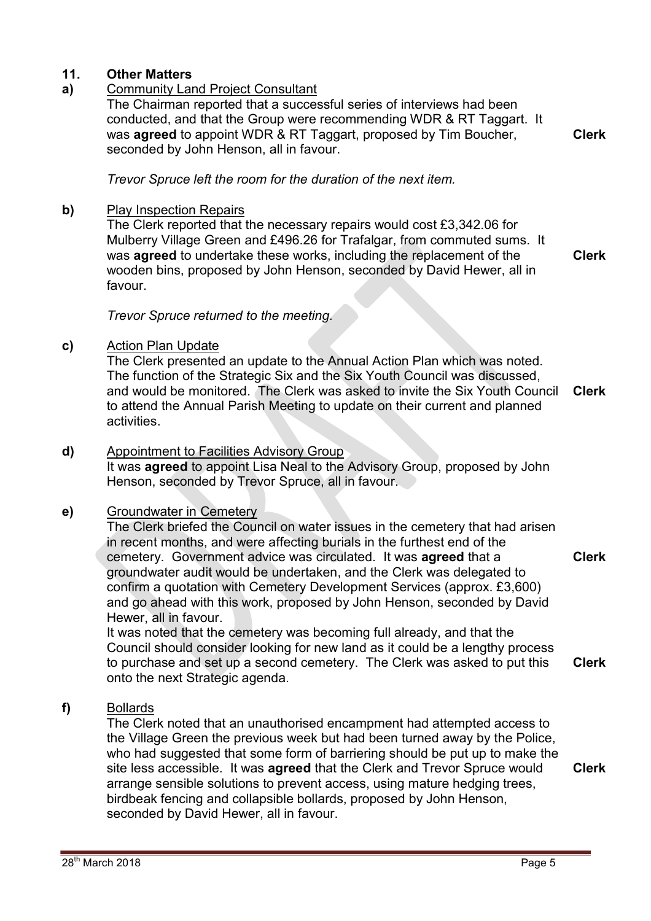# **11. Other Matters**

# **a)** Community Land Project Consultant

The Chairman reported that a successful series of interviews had been conducted, and that the Group were recommending WDR & RT Taggart. It was **agreed** to appoint WDR & RT Taggart, proposed by Tim Boucher, seconded by John Henson, all in favour.

**Clerk**

*Trevor Spruce left the room for the duration of the next item.* 

### **b)** Play Inspection Repairs

The Clerk reported that the necessary repairs would cost £3,342.06 for Mulberry Village Green and £496.26 for Trafalgar, from commuted sums. It was **agreed** to undertake these works, including the replacement of the wooden bins, proposed by John Henson, seconded by David Hewer, all in favour.

**Clerk**

### *Trevor Spruce returned to the meeting.*

### **c)** Action Plan Update

The Clerk presented an update to the Annual Action Plan which was noted. The function of the Strategic Six and the Six Youth Council was discussed, and would be monitored. The Clerk was asked to invite the Six Youth Council to attend the Annual Parish Meeting to update on their current and planned activities. **Clerk**

### **d)** Appointment to Facilities Advisory Group

It was **agreed** to appoint Lisa Neal to the Advisory Group, proposed by John Henson, seconded by Trevor Spruce, all in favour.

## **e)** Groundwater in Cemetery

The Clerk briefed the Council on water issues in the cemetery that had arisen in recent months, and were affecting burials in the furthest end of the cemetery. Government advice was circulated. It was **agreed** that a groundwater audit would be undertaken, and the Clerk was delegated to confirm a quotation with Cemetery Development Services (approx. £3,600) and go ahead with this work, proposed by John Henson, seconded by David Hewer, all in favour.

It was noted that the cemetery was becoming full already, and that the Council should consider looking for new land as it could be a lengthy process to purchase and set up a second cemetery. The Clerk was asked to put this onto the next Strategic agenda. **Clerk**

## **f)** Bollards

The Clerk noted that an unauthorised encampment had attempted access to the Village Green the previous week but had been turned away by the Police, who had suggested that some form of barriering should be put up to make the site less accessible. It was **agreed** that the Clerk and Trevor Spruce would arrange sensible solutions to prevent access, using mature hedging trees, birdbeak fencing and collapsible bollards, proposed by John Henson, seconded by David Hewer, all in favour. **Clerk**

**Clerk**